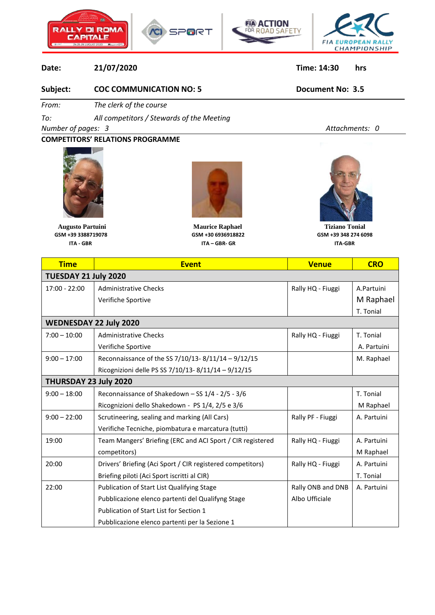





## **Date: 21/07/2020 Time: 14:30 hrs**

## **Subject: COC COMMUNICATION NO: 5 Document No: 3.5**

*From: The clerk of the course*

*To: All competitors / Stewards of the Meeting*

*Number of pages: 3 Attachments: 0*

**COMPETITORS' RELATIONS PROGRAMME**





 **Augusto Partuini Maurice Raphael Tiziano Tonial GSM +39 3388719078 GSM +30 6936918822 GSM +39 348 274 6098 ITA - GBR ITA – GBR- GR ITA-GBR**



| <b>Time</b>                   | <b>Event</b>                                               | <b>Venue</b>      | <b>CRO</b>  |  |
|-------------------------------|------------------------------------------------------------|-------------------|-------------|--|
| TUESDAY 21 July 2020          |                                                            |                   |             |  |
| 17:00 - 22:00                 | <b>Administrative Checks</b>                               | Rally HQ - Fiuggi | A.Partuini  |  |
|                               | Verifiche Sportive                                         |                   | M Raphael   |  |
|                               |                                                            |                   | T. Tonial   |  |
| <b>WEDNESDAY 22 July 2020</b> |                                                            |                   |             |  |
| $7:00 - 10:00$                | <b>Administrative Checks</b>                               | Rally HQ - Fiuggi | T. Tonial   |  |
|                               | Verifiche Sportive                                         |                   | A. Partuini |  |
| $9:00 - 17:00$                | Reconnaissance of the SS 7/10/13-8/11/14 - 9/12/15         |                   | M. Raphael  |  |
|                               | Ricognizioni delle PS SS 7/10/13-8/11/14-9/12/15           |                   |             |  |
| THURSDAY 23 July 2020         |                                                            |                   |             |  |
| $9:00 - 18:00$                | Reconnaissance of Shakedown - SS 1/4 - 2/5 - 3/6           |                   | T. Tonial   |  |
|                               | Ricognizioni dello Shakedown - PS 1/4, 2/5 e 3/6           |                   | M Raphael   |  |
| $9:00 - 22:00$                | Scrutineering, sealing and marking (All Cars)              | Rally PF - Fiuggi | A. Partuini |  |
|                               | Verifiche Tecniche, piombatura e marcatura (tutti)         |                   |             |  |
| 19:00                         | Team Mangers' Briefing (ERC and ACI Sport / CIR registered | Rally HQ - Fiuggi | A. Partuini |  |
|                               | competitors)                                               |                   | M Raphael   |  |
| 20:00                         | Drivers' Briefing (Aci Sport / CIR registered competitors) | Rally HQ - Fiuggi | A. Partuini |  |
|                               | Briefing piloti (Aci Sport iscritti al CIR)                |                   | T. Tonial   |  |
| 22:00                         | Publication of Start List Qualifying Stage                 | Rally ONB and DNB | A. Partuini |  |
|                               | Pubblicazione elenco partenti del Qualifyng Stage          | Albo Ufficiale    |             |  |
|                               | Publication of Start List for Section 1                    |                   |             |  |
|                               | Pubblicazione elenco partenti per la Sezione 1             |                   |             |  |